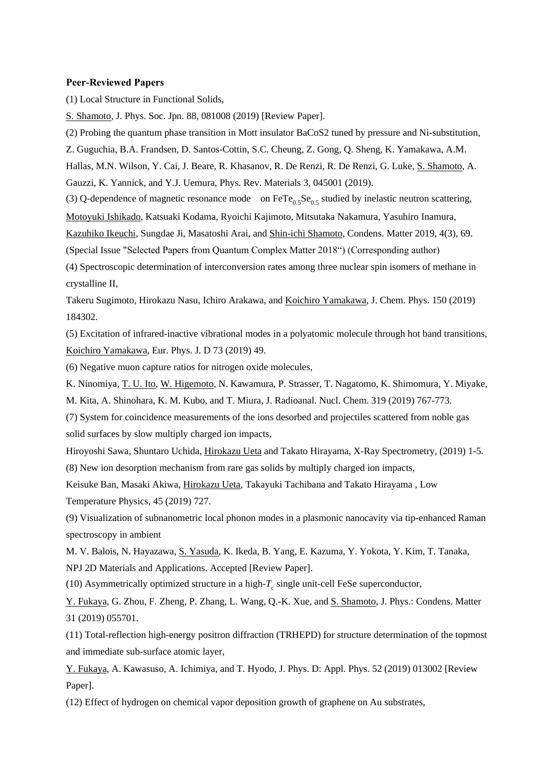#### **Peer-Reviewed Papers**

(1) Local Structure in Functional Solids,

S. Shamoto, J. Phys. Soc. Jpn. 88, 081008 (2019) [Review Paper].

(2) Probing the quantum phase transition in Mott insulator BaCoS2 tuned by pressure and Ni-substitution,

Z. Guguchia, B.A. Frandsen, D. Santos-Cottin, S.C. Cheung, Z. Gong, Q. Sheng, K. Yamakawa, A.M.

Hallas, M.N. Wilson, Y. Cai, J. Beare, R. Khasanov, R. De Renzi, R. De Renzi, G. Luke, S. Shamoto, A.

Gauzzi, K. Yannick, and Y.J. Uemura, Phys. Rev. Materials 3, 045001 (2019).

(3) Q-dependence of magnetic resonance mode on  $\text{FeTe}_{0.5}\text{Se}_{0.5}$  studied by inelastic neutron scattering,

Motoyuki Ishikado, Katsuaki Kodama, Ryoichi Kajimoto, Mitsutaka Nakamura, Yasuhiro Inamura,

Kazuhiko Ikeuchi, Sungdae Ji, Masatoshi Arai, and Shin-ichi Shamoto, Condens. Matter 2019, 4(3), 69.

(Special Issue "Selected Papers from Quantum Complex Matter 2018") (Corresponding author)

(4) Spectroscopic determination of interconversion rates among three nuclear spin isomers of methane in crystalline II,

Takeru Sugimoto, Hirokazu Nasu, Ichiro Arakawa, and Koichiro Yamakawa, J. Chem. Phys. 150 (2019) 184302.

(5) Excitation of infrared-inactive vibrational modes in a polyatomic molecule through hot band transitions, Koichiro Yamakawa, Eur. Phys. J. D 73 (2019) 49.

(6) Negative muon capture ratios for nitrogen oxide molecules,

K. Ninomiya, T. U. Ito, W. Higemoto, N. Kawamura, P. Strasser, T. Nagatomo, K. Shimomura, Y. Miyake,

M. Kita, A. Shinohara, K. M. Kubo, and T. Miura, J. Radioanal. Nucl. Chem. 319 (2019) 767-773.

(7) System for coincidence measurements of the ions desorbed and projectiles scattered from noble gas solid surfaces by slow multiply charged ion impacts,

Hiroyoshi Sawa, Shuntaro Uchida, Hirokazu Ueta and Takato Hirayama, X-Ray Spectrometry, (2019) 1-5.

(8) New ion desorption mechanism from rare gas solids by multiply charged ion impacts,

Keisuke Ban, Masaki Akiwa, Hirokazu Ueta, Takayuki Tachibana and Takato Hirayama , Low Temperature Physics, 45 (2019) 727.

(9) Visualization of subnanometric local phonon modes in a plasmonic nanocavity via tip-enhanced Raman spectroscopy in ambient

M. V. Balois, N. Hayazawa, S. Yasuda, K. Ikeda, B. Yang, E. Kazuma, Y. Yokota, Y. Kim, T. Tanaka, NPJ 2D Materials and Applications. Accepted [Review Paper].

(10) Asymmetrically optimized structure in a high- $T_c$  single unit-cell FeSe superconductor,

Y. Fukaya, G. Zhou, F. Zheng, P. Zhang, L. Wang, Q.-K. Xue, and S. Shamoto, J. Phys.: Condens. Matter 31 (2019) 055701.

(11) Total-reflection high-energy positron diffraction (TRHEPD) for structure determination of the topmost and immediate sub-surface atomic layer,

Y. Fukaya, A. Kawasuso, A. Ichimiya, and T. Hyodo, J. Phys. D: Appl. Phys. 52 (2019) 013002 [Review Paper].

(12) Effect of hydrogen on chemical vapor deposition growth of graphene on Au substrates,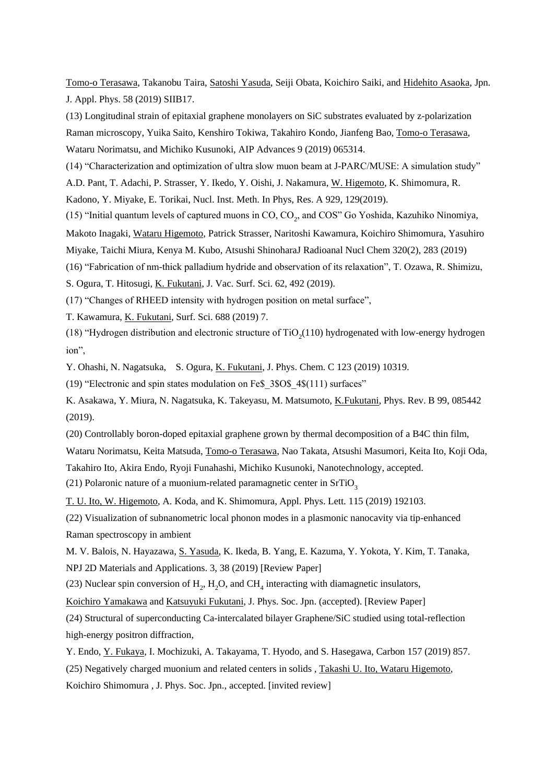Tomo-o Terasawa, Takanobu Taira, Satoshi Yasuda, Seiji Obata, Koichiro Saiki, and Hidehito Asaoka, Jpn. J. Appl. Phys. 58 (2019) SIIB17.

(13) Longitudinal strain of epitaxial graphene monolayers on SiC substrates evaluated by z-polarization Raman microscopy, Yuika Saito, Kenshiro Tokiwa, Takahiro Kondo, Jianfeng Bao, Tomo-o Terasawa, Wataru Norimatsu, and Michiko Kusunoki, AIP Advances 9 (2019) 065314.

(14) "Characterization and optimization of ultra slow muon beam at J-PARC/MUSE: A simulation study"

A.D. Pant, T. Adachi, P. Strasser, Y. Ikedo, Y. Oishi, J. Nakamura, W. Higemoto, K. Shimomura, R.

Kadono, Y. Miyake, E. Torikai, Nucl. Inst. Meth. In Phys, Res. A 929, 129(2019).

(15) "Initial quantum levels of captured muons in  $\mathrm{CO}, \mathrm{CO}_2$ , and  $\mathrm{COS}$ " Go Yoshida, Kazuhiko Ninomiya,

Makoto Inagaki, Wataru Higemoto, Patrick Strasser, Naritoshi Kawamura, Koichiro Shimomura, Yasuhiro

Miyake, Taichi Miura, Kenya M. Kubo, Atsushi ShinoharaJ Radioanal Nucl Chem 320(2), 283 (2019)

(16) "Fabrication of nm-thick palladium hydride and observation of its relaxation", T. Ozawa, R. Shimizu,

S. Ogura, T. Hitosugi, K. Fukutani, J. Vac. Surf. Sci. 62, 492 (2019).

(17) "Changes of RHEED intensity with hydrogen position on metal surface",

T. Kawamura, K. Fukutani, Surf. Sci. 688 (2019) 7.

(18) "Hydrogen distribution and electronic structure of  $TiO<sub>2</sub>(110)$  hydrogenated with low-energy hydrogen ion",

Y. Ohashi, N. Nagatsuka, S. Ogura, K. Fukutani, J. Phys. Chem. C 123 (2019) 10319.

(19) "Electronic and spin states modulation on Fe\$\_3\$O\$\_4\$(111) surfaces"

K. Asakawa, Y. Miura, N. Nagatsuka, K. Takeyasu, M. Matsumoto, K.Fukutani, Phys. Rev. B 99, 085442 (2019).

(20) Controllably boron-doped epitaxial graphene grown by thermal decomposition of a B4C thin film,

Wataru Norimatsu, Keita Matsuda, Tomo-o Terasawa, Nao Takata, Atsushi Masumori, Keita Ito, Koji Oda, Takahiro Ito, Akira Endo, Ryoji Funahashi, Michiko Kusunoki, Nanotechnology, accepted.

(21) Polaronic nature of a muonium-related paramagnetic center in  $SrTiO<sub>2</sub>$ 

T. U. Ito, W. Higemoto, A. Koda, and K. Shimomura, Appl. Phys. Lett. 115 (2019) 192103.

(22) Visualization of subnanometric local phonon modes in a plasmonic nanocavity via tip-enhanced Raman spectroscopy in ambient

M. V. Balois, N. Hayazawa, S. Yasuda, K. Ikeda, B. Yang, E. Kazuma, Y. Yokota, Y. Kim, T. Tanaka, NPJ 2D Materials and Applications. 3, 38 (2019) [Review Paper]

(23) Nuclear spin conversion of  $H_2$ ,  $H_2O$ , and CH<sub>4</sub> interacting with diamagnetic insulators,

Koichiro Yamakawa and Katsuyuki Fukutani, J. Phys. Soc. Jpn. (accepted). [Review Paper]

(24) Structural of superconducting Ca-intercalated bilayer Graphene/SiC studied using total-reflection high-energy positron diffraction,

Y. Endo, Y. Fukaya, I. Mochizuki, A. Takayama, T. Hyodo, and S. Hasegawa, Carbon 157 (2019) 857. (25) Negatively charged muonium and related centers in solids , Takashi U. Ito, Wataru Higemoto, Koichiro Shimomura , J. Phys. Soc. Jpn., accepted. [invited review]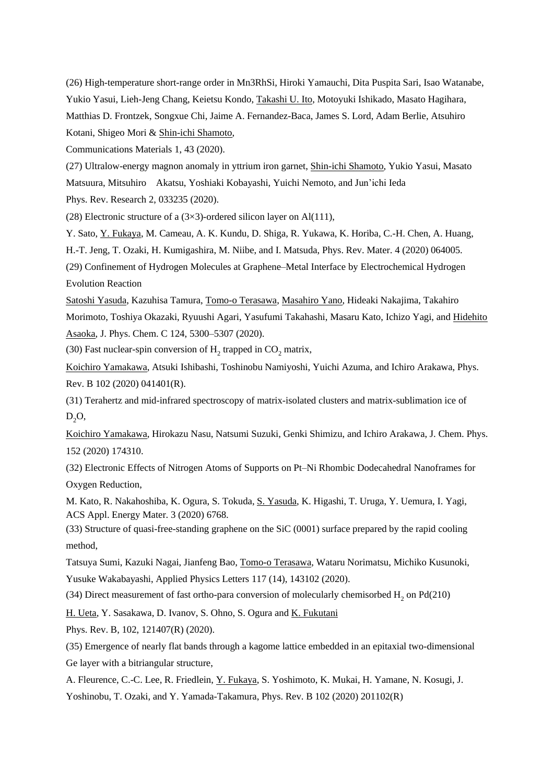(26) High-temperature short-range order in Mn3RhSi, Hiroki Yamauchi, Dita Puspita Sari, Isao Watanabe, Yukio Yasui, Lieh-Jeng Chang, Keietsu Kondo, Takashi U. Ito, Motoyuki Ishikado, Masato Hagihara, Matthias D. Frontzek, Songxue Chi, Jaime A. Fernandez-Baca, James S. Lord, Adam Berlie, Atsuhiro Kotani, Shigeo Mori & Shin-ichi Shamoto,

Communications Materials 1, 43 (2020).

(27) Ultralow-energy magnon anomaly in yttrium iron garnet, Shin-ichi Shamoto, Yukio Yasui, Masato Matsuura, Mitsuhiro Akatsu, Yoshiaki Kobayashi, Yuichi Nemoto, and Jun'ichi Ieda

Phys. Rev. Research 2, 033235 (2020).

(28) Electronic structure of a  $(3\times3)$ -ordered silicon layer on Al(111),

Y. Sato, Y. Fukaya, M. Cameau, A. K. Kundu, D. Shiga, R. Yukawa, K. Horiba, C.-H. Chen, A. Huang,

H.-T. Jeng, T. Ozaki, H. Kumigashira, M. Niibe, and I. Matsuda, Phys. Rev. Mater. 4 (2020) 064005.

(29) Confinement of Hydrogen Molecules at Graphene–Metal Interface by Electrochemical Hydrogen Evolution Reaction

Satoshi Yasuda, Kazuhisa Tamura, Tomo-o Terasawa, Masahiro Yano, Hideaki Nakajima, Takahiro Morimoto, Toshiya Okazaki, Ryuushi Agari, Yasufumi Takahashi, Masaru Kato, Ichizo Yagi, and Hidehito Asaoka, J. Phys. Chem. C 124, 5300–5307 (2020).

(30) Fast nuclear-spin conversion of  $H_2$  trapped in  $CO_2$  matrix,

Koichiro Yamakawa, Atsuki Ishibashi, Toshinobu Namiyoshi, Yuichi Azuma, and Ichiro Arakawa, Phys. Rev. B 102 (2020) 041401(R).

(31) Terahertz and mid-infrared spectroscopy of matrix-isolated clusters and matrix-sublimation ice of  $D_2O$ 

Koichiro Yamakawa, Hirokazu Nasu, Natsumi Suzuki, Genki Shimizu, and Ichiro Arakawa, J. Chem. Phys. 152 (2020) 174310.

(32) Electronic Effects of Nitrogen Atoms of Supports on Pt–Ni Rhombic Dodecahedral Nanoframes for Oxygen Reduction,

M. Kato, R. Nakahoshiba, K. Ogura, S. Tokuda, S. Yasuda, K. Higashi, T. Uruga, Y. Uemura, I. Yagi, ACS Appl. Energy Mater. 3 (2020) 6768.

(33) Structure of quasi-free-standing graphene on the SiC (0001) surface prepared by the rapid cooling method,

Tatsuya Sumi, Kazuki Nagai, Jianfeng Bao, Tomo-o Terasawa, Wataru Norimatsu, Michiko Kusunoki, Yusuke Wakabayashi, Applied Physics Letters 117 (14), 143102 (2020).

(34) Direct measurement of fast ortho-para conversion of molecularly chemisorbed  $H_2$  on Pd(210)

H. Ueta, Y. Sasakawa, D. Ivanov, S. Ohno, S. Ogura and K. Fukutani

Phys. Rev. B, 102, 121407(R) (2020).

(35) Emergence of nearly flat bands through a kagome lattice embedded in an epitaxial two-dimensional Ge layer with a bitriangular structure,

A. Fleurence, C.-C. Lee, R. Friedlein, Y. Fukaya, S. Yoshimoto, K. Mukai, H. Yamane, N. Kosugi, J. Yoshinobu, T. Ozaki, and Y. Yamada-Takamura, Phys. Rev. B 102 (2020) 201102(R)